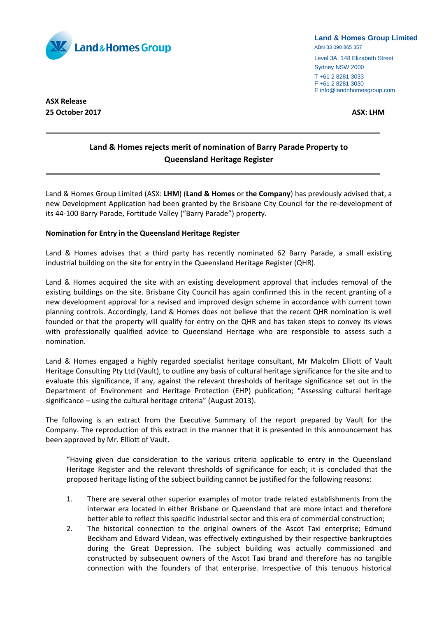

## **Land & Homes Group Limited**

ABN 33 090 865 357

Level 3A, 148 Elizabeth Street Sydney NSW 2000 T +61 2 8281 3033 F +61 2 8281 3030

E info@landnhomesgroup.com

**ASX Release 25 October 2017 ASX: LHM**

# **Land & Homes rejects merit of nomination of Barry Parade Property to Queensland Heritage Register**

Land & Homes Group Limited (ASX: **LHM**) (**Land & Homes** or **the Company**) has previously advised that, a new Development Application had been granted by the Brisbane City Council for the re-development of its 44-100 Barry Parade, Fortitude Valley ("Barry Parade") property.

## **Nomination for Entry in the Queensland Heritage Register**

Land & Homes advises that a third party has recently nominated 62 Barry Parade, a small existing industrial building on the site for entry in the Queensland Heritage Register (QHR).

Land & Homes acquired the site with an existing development approval that includes removal of the existing buildings on the site. Brisbane City Council has again confirmed this in the recent granting of a new development approval for a revised and improved design scheme in accordance with current town planning controls. Accordingly, Land & Homes does not believe that the recent QHR nomination is well founded or that the property will qualify for entry on the QHR and has taken steps to convey its views with professionally qualified advice to Queensland Heritage who are responsible to assess such a nomination.

Land & Homes engaged a highly regarded specialist heritage consultant, Mr Malcolm Elliott of Vault Heritage Consulting Pty Ltd (Vault), to outline any basis of cultural heritage significance for the site and to evaluate this significance, if any, against the relevant thresholds of heritage significance set out in the Department of Environment and Heritage Protection (EHP) publication; "Assessing cultural heritage significance – using the cultural heritage criteria" (August 2013).

The following is an extract from the Executive Summary of the report prepared by Vault for the Company. The reproduction of this extract in the manner that it is presented in this announcement has been approved by Mr. Elliott of Vault.

"Having given due consideration to the various criteria applicable to entry in the Queensland Heritage Register and the relevant thresholds of significance for each; it is concluded that the proposed heritage listing of the subject building cannot be justified for the following reasons:

- 1. There are several other superior examples of motor trade related establishments from the interwar era located in either Brisbane or Queensland that are more intact and therefore better able to reflect this specific industrial sector and this era of commercial construction;
- 2. The historical connection to the original owners of the Ascot Taxi enterprise; Edmund Beckham and Edward Videan, was effectively extinguished by their respective bankruptcies during the Great Depression. The subject building was actually commissioned and constructed by subsequent owners of the Ascot Taxi brand and therefore has no tangible connection with the founders of that enterprise. Irrespective of this tenuous historical